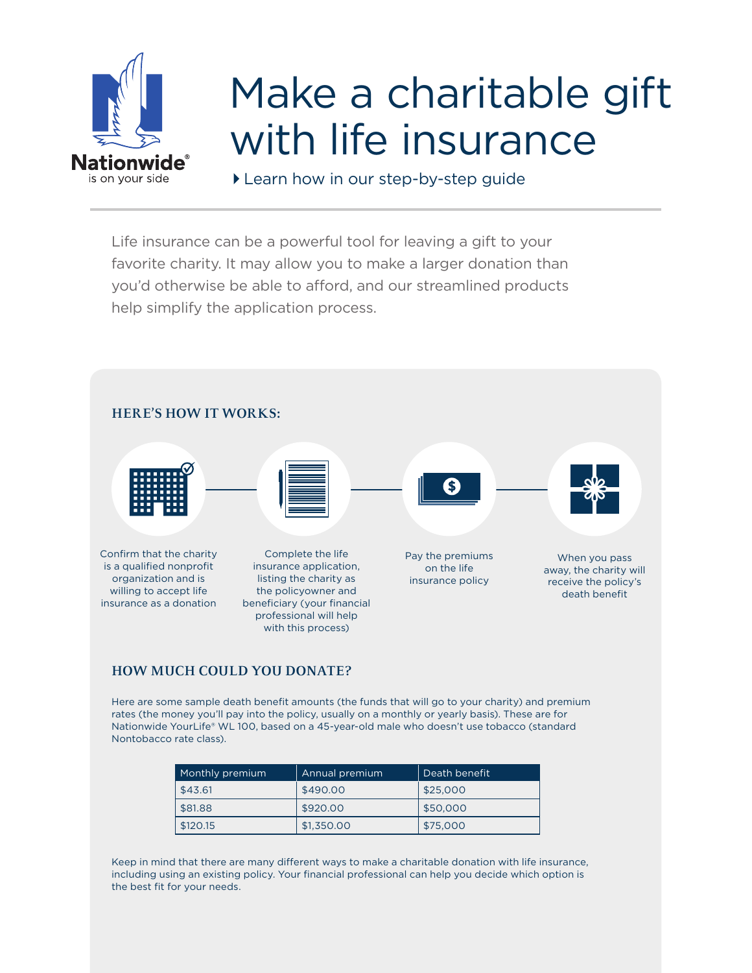

## Make a charitable gift with life insurance

Learn how in our step-by-step guide

Life insurance can be a powerful tool for leaving a gift to your favorite charity. It may allow you to make a larger donation than you'd otherwise be able to afford, and our streamlined products help simplify the application process.



## **HOW MUCH COULD YOU DONATE?**

Here are some sample death benefit amounts (the funds that will go to your charity) and premium rates (the money you'll pay into the policy, usually on a monthly or yearly basis). These are for Nationwide YourLife® WL 100, based on a 45-year-old male who doesn't use tobacco (standard Nontobacco rate class).

| Monthly premium | Annual premium | Death benefit |
|-----------------|----------------|---------------|
| \$43.61         | \$490.00       | \$25,000      |
| \$81.88         | \$920,00       | \$50,000      |
| \$120.15        | \$1,350,00     | \$75,000      |

Keep in mind that there are many different ways to make a charitable donation with life insurance, including using an existing policy. Your financial professional can help you decide which option is the best fit for your needs.